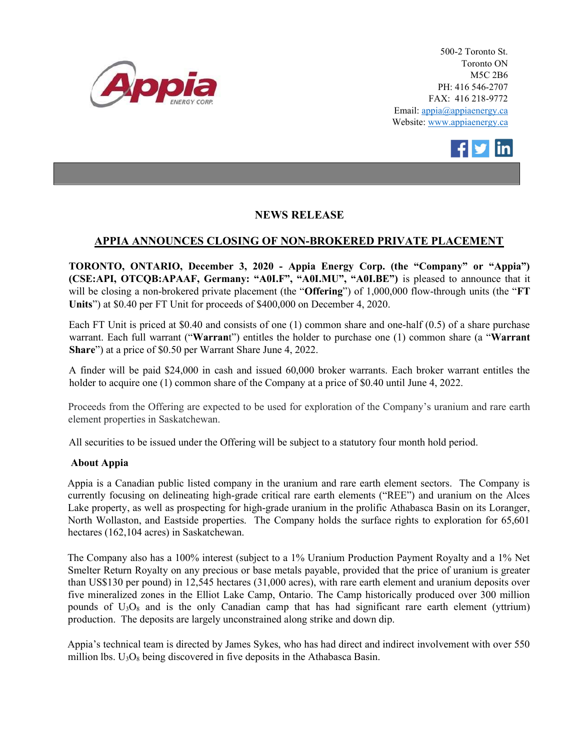

500-2 Toronto St. Toronto ON M5C 2B6 PH: 416 546-2707 FAX: 416 218-9772 Email: appia@appiaenergy.ca Website: www.appiaenergy.ca



## NEWS RELEASE

## APPIA ANNOUNCES CLOSING OF NON-BROKERED PRIVATE PLACEMENT

TORONTO, ONTARIO, December 3, 2020 - Appia Energy Corp. (the "Company" or "Appia") (CSE:API, OTCQB:APAAF, Germany: "A0I.F", "A0I.MU", "A0I.BE") is pleased to announce that it will be closing a non-brokered private placement (the "Offering") of 1,000,000 flow-through units (the "FT Units") at \$0.40 per FT Unit for proceeds of \$400,000 on December 4, 2020.

Each FT Unit is priced at \$0.40 and consists of one (1) common share and one-half (0.5) of a share purchase warrant. Each full warrant ("Warrant") entitles the holder to purchase one (1) common share (a "Warrant") Share") at a price of \$0.50 per Warrant Share June 4, 2022.

A finder will be paid \$24,000 in cash and issued 60,000 broker warrants. Each broker warrant entitles the holder to acquire one (1) common share of the Company at a price of \$0.40 until June 4, 2022.

Proceeds from the Offering are expected to be used for exploration of the Company's uranium and rare earth element properties in Saskatchewan.

All securities to be issued under the Offering will be subject to a statutory four month hold period.

## About Appia

Appia is a Canadian public listed company in the uranium and rare earth element sectors. The Company is currently focusing on delineating high-grade critical rare earth elements ("REE") and uranium on the Alces Lake property, as well as prospecting for high-grade uranium in the prolific Athabasca Basin on its Loranger, North Wollaston, and Eastside properties. The Company holds the surface rights to exploration for 65,601 hectares (162,104 acres) in Saskatchewan.

The Company also has a 100% interest (subject to a 1% Uranium Production Payment Royalty and a 1% Net Smelter Return Royalty on any precious or base metals payable, provided that the price of uranium is greater than US\$130 per pound) in 12,545 hectares (31,000 acres), with rare earth element and uranium deposits over five mineralized zones in the Elliot Lake Camp, Ontario. The Camp historically produced over 300 million pounds of  $U_3O_8$  and is the only Canadian camp that has had significant rare earth element (yttrium) production. The deposits are largely unconstrained along strike and down dip.

Appia's technical team is directed by James Sykes, who has had direct and indirect involvement with over 550 million lbs.  $U_3O_8$  being discovered in five deposits in the Athabasca Basin.